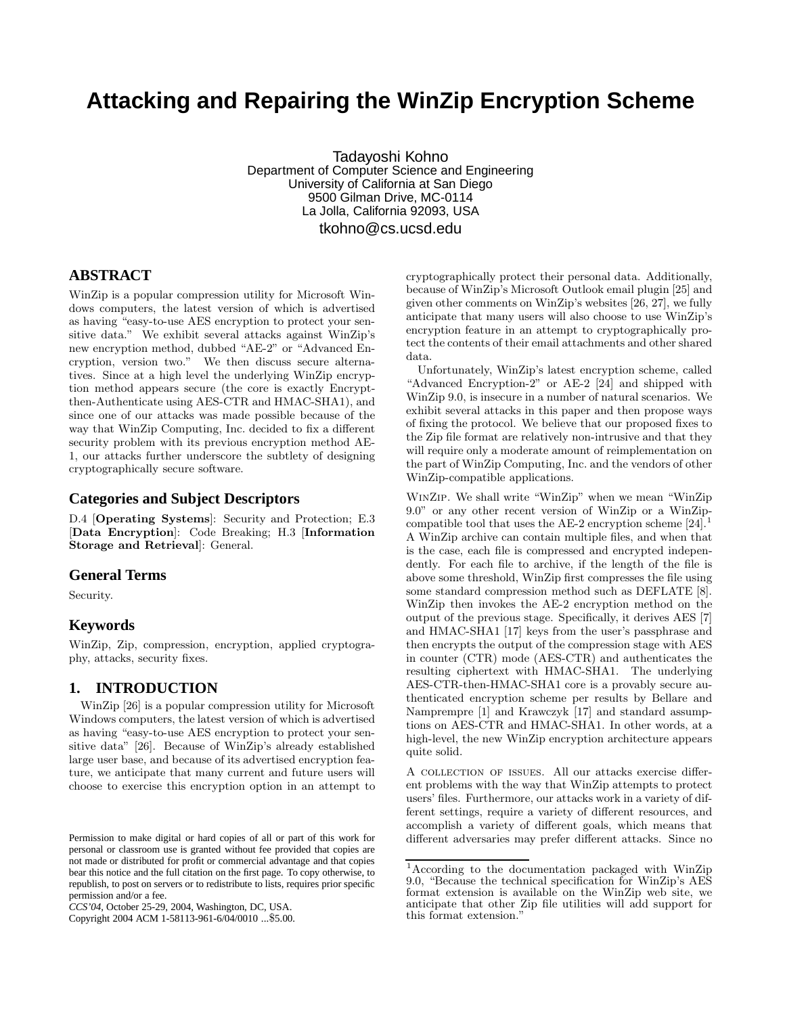# **Attacking and Repairing the WinZip Encryption Scheme**

Tadayoshi Kohno Department of Computer Science and Engineering University of California at San Diego 9500 Gilman Drive, MC-0114 La Jolla, California 92093, USA tkohno@cs.ucsd.edu

### **ABSTRACT**

WinZip is a popular compression utility for Microsoft Windows computers, the latest version of which is advertised as having "easy-to-use AES encryption to protect your sensitive data." We exhibit several attacks against WinZip's new encryption method, dubbed "AE-2" or "Advanced Encryption, version two." We then discuss secure alternatives. Since at a high level the underlying WinZip encryption method appears secure (the core is exactly Encryptthen-Authenticate using AES-CTR and HMAC-SHA1), and since one of our attacks was made possible because of the way that WinZip Computing, Inc. decided to fix a different security problem with its previous encryption method AE-1, our attacks further underscore the subtlety of designing cryptographically secure software.

#### **Categories and Subject Descriptors**

D.4 [Operating Systems]: Security and Protection; E.3 [Data Encryption]: Code Breaking; H.3 [Information Storage and Retrieval]: General.

#### **General Terms**

Security.

### **Keywords**

WinZip, Zip, compression, encryption, applied cryptography, attacks, security fixes.

### **1. INTRODUCTION**

WinZip [26] is a popular compression utility for Microsoft Windows computers, the latest version of which is advertised as having "easy-to-use AES encryption to protect your sensitive data" [26]. Because of WinZip's already established large user base, and because of its advertised encryption feature, we anticipate that many current and future users will choose to exercise this encryption option in an attempt to

Copyright 2004 ACM 1-58113-961-6/04/0010 ...\$5.00.

cryptographically protect their personal data. Additionally, because of WinZip's Microsoft Outlook email plugin [25] and given other comments on WinZip's websites [26, 27], we fully anticipate that many users will also choose to use WinZip's encryption feature in an attempt to cryptographically protect the contents of their email attachments and other shared data.

Unfortunately, WinZip's latest encryption scheme, called "Advanced Encryption-2" or AE-2 [24] and shipped with WinZip 9.0, is insecure in a number of natural scenarios. We exhibit several attacks in this paper and then propose ways of fixing the protocol. We believe that our proposed fixes to the Zip file format are relatively non-intrusive and that they will require only a moderate amount of reimplementation on the part of WinZip Computing, Inc. and the vendors of other WinZip-compatible applications.

WinZip. We shall write "WinZip" when we mean "WinZip 9.0" or any other recent version of WinZip or a WinZipcompatible tool that uses the AE-2 encryption scheme  $[24]$ .<sup>1</sup> A WinZip archive can contain multiple files, and when that is the case, each file is compressed and encrypted independently. For each file to archive, if the length of the file is above some threshold, WinZip first compresses the file using some standard compression method such as DEFLATE [8]. WinZip then invokes the AE-2 encryption method on the output of the previous stage. Specifically, it derives AES [7] and HMAC-SHA1 [17] keys from the user's passphrase and then encrypts the output of the compression stage with AES in counter (CTR) mode (AES-CTR) and authenticates the resulting ciphertext with HMAC-SHA1. The underlying AES-CTR-then-HMAC-SHA1 core is a provably secure authenticated encryption scheme per results by Bellare and Namprempre [1] and Krawczyk [17] and standard assumptions on AES-CTR and HMAC-SHA1. In other words, at a high-level, the new WinZip encryption architecture appears quite solid.

A collection of issues. All our attacks exercise different problems with the way that WinZip attempts to protect users' files. Furthermore, our attacks work in a variety of different settings, require a variety of different resources, and accomplish a variety of different goals, which means that different adversaries may prefer different attacks. Since no

Permission to make digital or hard copies of all or part of this work for personal or classroom use is granted without fee provided that copies are not made or distributed for profit or commercial advantage and that copies bear this notice and the full citation on the first page. To copy otherwise, to republish, to post on servers or to redistribute to lists, requires prior specific permission and/or a fee.

*CCS'04,* October 25-29, 2004, Washington, DC, USA.

<sup>1</sup>According to the documentation packaged with WinZip 9.0, "Because the technical specification for WinZip's AES format extension is available on the WinZip web site, we anticipate that other Zip file utilities will add support for this format extension."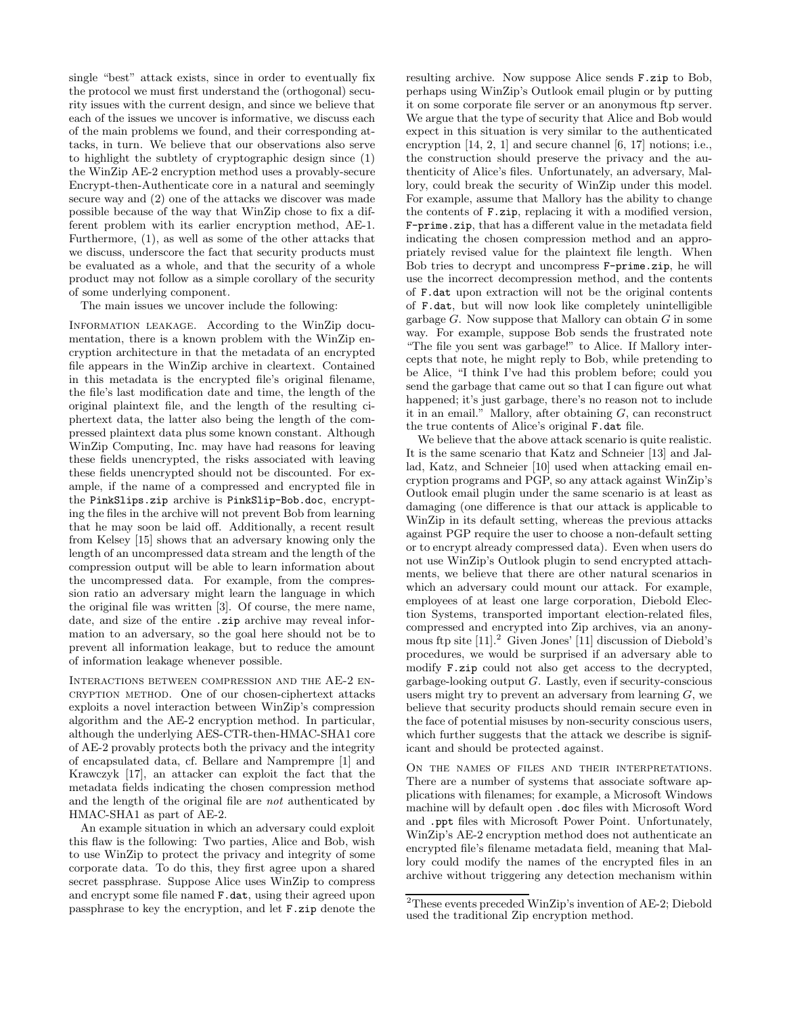single "best" attack exists, since in order to eventually fix the protocol we must first understand the (orthogonal) security issues with the current design, and since we believe that each of the issues we uncover is informative, we discuss each of the main problems we found, and their corresponding attacks, in turn. We believe that our observations also serve to highlight the subtlety of cryptographic design since (1) the WinZip AE-2 encryption method uses a provably-secure Encrypt-then-Authenticate core in a natural and seemingly secure way and (2) one of the attacks we discover was made possible because of the way that WinZip chose to fix a different problem with its earlier encryption method, AE-1. Furthermore, (1), as well as some of the other attacks that we discuss, underscore the fact that security products must be evaluated as a whole, and that the security of a whole product may not follow as a simple corollary of the security of some underlying component.

The main issues we uncover include the following:

Information leakage. According to the WinZip documentation, there is a known problem with the WinZip encryption architecture in that the metadata of an encrypted file appears in the WinZip archive in cleartext. Contained in this metadata is the encrypted file's original filename, the file's last modification date and time, the length of the original plaintext file, and the length of the resulting ciphertext data, the latter also being the length of the compressed plaintext data plus some known constant. Although WinZip Computing, Inc. may have had reasons for leaving these fields unencrypted, the risks associated with leaving these fields unencrypted should not be discounted. For example, if the name of a compressed and encrypted file in the PinkSlips.zip archive is PinkSlip-Bob.doc, encrypting the files in the archive will not prevent Bob from learning that he may soon be laid off. Additionally, a recent result from Kelsey [15] shows that an adversary knowing only the length of an uncompressed data stream and the length of the compression output will be able to learn information about the uncompressed data. For example, from the compression ratio an adversary might learn the language in which the original file was written [3]. Of course, the mere name, date, and size of the entire .zip archive may reveal information to an adversary, so the goal here should not be to prevent all information leakage, but to reduce the amount of information leakage whenever possible.

Interactions between compression and the AE-2 encryption method. One of our chosen-ciphertext attacks exploits a novel interaction between WinZip's compression algorithm and the AE-2 encryption method. In particular, although the underlying AES-CTR-then-HMAC-SHA1 core of AE-2 provably protects both the privacy and the integrity of encapsulated data, cf. Bellare and Namprempre [1] and Krawczyk [17], an attacker can exploit the fact that the metadata fields indicating the chosen compression method and the length of the original file are not authenticated by HMAC-SHA1 as part of AE-2.

An example situation in which an adversary could exploit this flaw is the following: Two parties, Alice and Bob, wish to use WinZip to protect the privacy and integrity of some corporate data. To do this, they first agree upon a shared secret passphrase. Suppose Alice uses WinZip to compress and encrypt some file named F.dat, using their agreed upon passphrase to key the encryption, and let F.zip denote the resulting archive. Now suppose Alice sends F.zip to Bob, perhaps using WinZip's Outlook email plugin or by putting it on some corporate file server or an anonymous ftp server. We argue that the type of security that Alice and Bob would expect in this situation is very similar to the authenticated encryption [14, 2, 1] and secure channel [6, 17] notions; i.e., the construction should preserve the privacy and the authenticity of Alice's files. Unfortunately, an adversary, Mallory, could break the security of WinZip under this model. For example, assume that Mallory has the ability to change the contents of F.zip, replacing it with a modified version, F-prime.zip, that has a different value in the metadata field indicating the chosen compression method and an appropriately revised value for the plaintext file length. When Bob tries to decrypt and uncompress F-prime.zip, he will use the incorrect decompression method, and the contents of F.dat upon extraction will not be the original contents of F.dat, but will now look like completely unintelligible garbage  $G$ . Now suppose that Mallory can obtain  $G$  in some way. For example, suppose Bob sends the frustrated note "The file you sent was garbage!" to Alice. If Mallory intercepts that note, he might reply to Bob, while pretending to be Alice, "I think I've had this problem before; could you send the garbage that came out so that I can figure out what happened; it's just garbage, there's no reason not to include it in an email." Mallory, after obtaining  $G$ , can reconstruct the true contents of Alice's original F.dat file.

We believe that the above attack scenario is quite realistic. It is the same scenario that Katz and Schneier [13] and Jallad, Katz, and Schneier [10] used when attacking email encryption programs and PGP, so any attack against WinZip's Outlook email plugin under the same scenario is at least as damaging (one difference is that our attack is applicable to WinZip in its default setting, whereas the previous attacks against PGP require the user to choose a non-default setting or to encrypt already compressed data). Even when users do not use WinZip's Outlook plugin to send encrypted attachments, we believe that there are other natural scenarios in which an adversary could mount our attack. For example, employees of at least one large corporation, Diebold Election Systems, transported important election-related files, compressed and encrypted into Zip archives, via an anonymous ftp site [11].<sup>2</sup> Given Jones' [11] discussion of Diebold's procedures, we would be surprised if an adversary able to modify F.zip could not also get access to the decrypted, garbage-looking output  $G$ . Lastly, even if security-conscious users might try to prevent an adversary from learning  $G$ , we believe that security products should remain secure even in the face of potential misuses by non-security conscious users, which further suggests that the attack we describe is significant and should be protected against.

ON THE NAMES OF FILES AND THEIR INTERPRETATIONS. There are a number of systems that associate software applications with filenames; for example, a Microsoft Windows machine will by default open .doc files with Microsoft Word and .ppt files with Microsoft Power Point. Unfortunately, WinZip's AE-2 encryption method does not authenticate an encrypted file's filename metadata field, meaning that Mallory could modify the names of the encrypted files in an archive without triggering any detection mechanism within

<sup>2</sup>These events preceded WinZip's invention of AE-2; Diebold used the traditional Zip encryption method.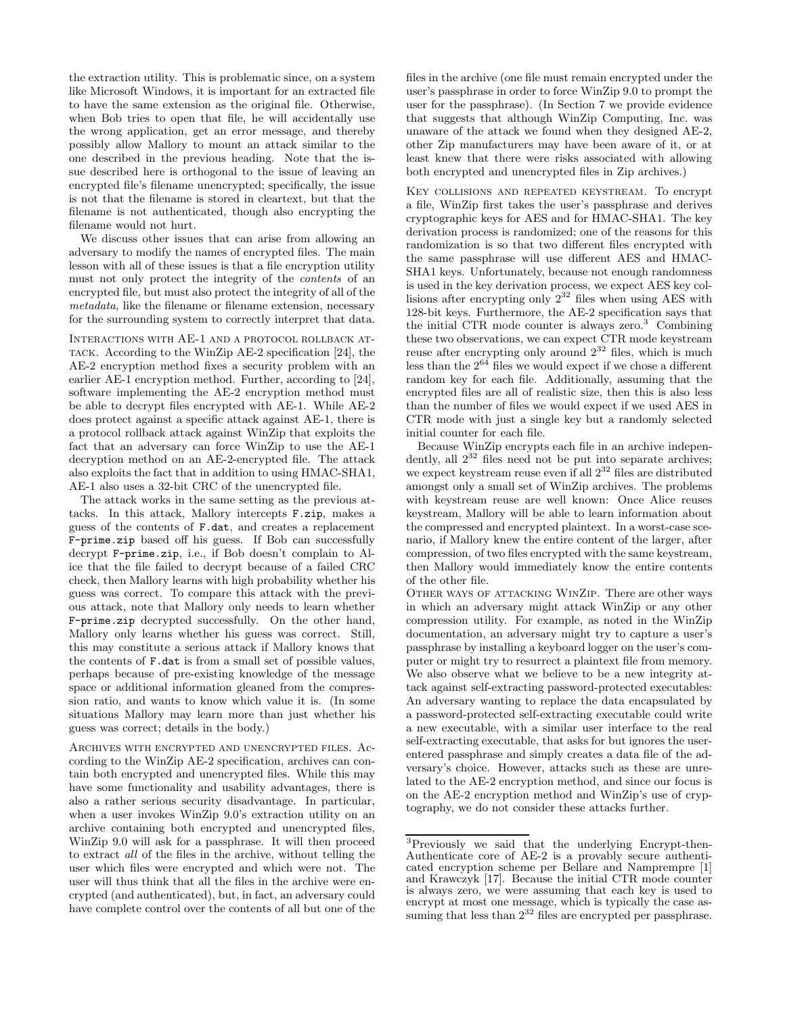the extraction utility. This is problematic since, on a system like Microsoft Windows, it is important for an extracted file to have the same extension as the original file. Otherwise, when Bob tries to open that file, he will accidentally use the wrong application, get an error message, and thereby possibly allow Mallory to mount an attack similar to the one described in the previous heading. Note that the issue described here is orthogonal to the issue of leaving an encrypted file's filename unencrypted; specifically, the issue is not that the filename is stored in cleartext, but that the filename is not authenticated, though also encrypting the filename would not hurt.

We discuss other issues that can arise from allowing an adversary to modify the names of encrypted files. The main lesson with all of these issues is that a file encryption utility must not only protect the integrity of the contents of an encrypted file, but must also protect the integrity of all of the metadata, like the filename or filename extension, necessary for the surrounding system to correctly interpret that data.

Interactions with AE-1 and a protocol rollback attack. According to the WinZip AE-2 specification [24], the AE-2 encryption method fixes a security problem with an earlier AE-1 encryption method. Further, according to [24], software implementing the AE-2 encryption method must be able to decrypt files encrypted with AE-1. While AE-2 does protect against a specific attack against AE-1, there is a protocol rollback attack against WinZip that exploits the fact that an adversary can force WinZip to use the AE-1 decryption method on an AE-2-encrypted file. The attack also exploits the fact that in addition to using HMAC-SHA1, AE-1 also uses a 32-bit CRC of the unencrypted file.

The attack works in the same setting as the previous attacks. In this attack, Mallory intercepts F.zip, makes a guess of the contents of F.dat, and creates a replacement F-prime.zip based off his guess. If Bob can successfully decrypt F-prime.zip, i.e., if Bob doesn't complain to Alice that the file failed to decrypt because of a failed CRC check, then Mallory learns with high probability whether his guess was correct. To compare this attack with the previous attack, note that Mallory only needs to learn whether F-prime.zip decrypted successfully. On the other hand, Mallory only learns whether his guess was correct. Still, this may constitute a serious attack if Mallory knows that the contents of F.dat is from a small set of possible values, perhaps because of pre-existing knowledge of the message space or additional information gleaned from the compression ratio, and wants to know which value it is. (In some situations Mallory may learn more than just whether his guess was correct; details in the body.)

Archives with encrypted and unencrypted files. According to the WinZip AE-2 specification, archives can contain both encrypted and unencrypted files. While this may have some functionality and usability advantages, there is also a rather serious security disadvantage. In particular, when a user invokes WinZip 9.0's extraction utility on an archive containing both encrypted and unencrypted files, WinZip 9.0 will ask for a passphrase. It will then proceed to extract all of the files in the archive, without telling the user which files were encrypted and which were not. The user will thus think that all the files in the archive were encrypted (and authenticated), but, in fact, an adversary could have complete control over the contents of all but one of the

files in the archive (one file must remain encrypted under the user's passphrase in order to force WinZip 9.0 to prompt the user for the passphrase). (In Section 7 we provide evidence that suggests that although WinZip Computing, Inc. was unaware of the attack we found when they designed AE-2, other Zip manufacturers may have been aware of it, or at least knew that there were risks associated with allowing both encrypted and unencrypted files in Zip archives.)

Key collisions and repeated keystream. To encrypt a file, WinZip first takes the user's passphrase and derives cryptographic keys for AES and for HMAC-SHA1. The key derivation process is randomized; one of the reasons for this randomization is so that two different files encrypted with the same passphrase will use different AES and HMAC-SHA1 keys. Unfortunately, because not enough randomness is used in the key derivation process, we expect AES key collisions after encrypting only  $2^{32}$  files when using AES with 128-bit keys. Furthermore, the AE-2 specification says that the initial CTR mode counter is always zero. $3$  Combining these two observations, we can expect CTR mode keystream reuse after encrypting only around  $2^{32}$  files, which is much less than the  $2^{64}$  files we would expect if we chose a different random key for each file. Additionally, assuming that the encrypted files are all of realistic size, then this is also less than the number of files we would expect if we used AES in CTR mode with just a single key but a randomly selected initial counter for each file.

Because WinZip encrypts each file in an archive independently, all  $2^{32}$  files need not be put into separate archives; we expect keystream reuse even if all  $2^{32}$  files are distributed amongst only a small set of WinZip archives. The problems with keystream reuse are well known: Once Alice reuses keystream, Mallory will be able to learn information about the compressed and encrypted plaintext. In a worst-case scenario, if Mallory knew the entire content of the larger, after compression, of two files encrypted with the same keystream, then Mallory would immediately know the entire contents of the other file.

Other ways of attacking WinZip. There are other ways in which an adversary might attack WinZip or any other compression utility. For example, as noted in the WinZip documentation, an adversary might try to capture a user's passphrase by installing a keyboard logger on the user's computer or might try to resurrect a plaintext file from memory. We also observe what we believe to be a new integrity attack against self-extracting password-protected executables: An adversary wanting to replace the data encapsulated by a password-protected self-extracting executable could write a new executable, with a similar user interface to the real self-extracting executable, that asks for but ignores the userentered passphrase and simply creates a data file of the adversary's choice. However, attacks such as these are unrelated to the AE-2 encryption method, and since our focus is on the AE-2 encryption method and WinZip's use of cryptography, we do not consider these attacks further.

<sup>3</sup>Previously we said that the underlying Encrypt-then-Authenticate core of AE-2 is a provably secure authenticated encryption scheme per Bellare and Namprempre [1] and Krawczyk [17]. Because the initial CTR mode counter is always zero, we were assuming that each key is used to encrypt at most one message, which is typically the case assuming that less than  $2^{32}$  files are encrypted per passphrase.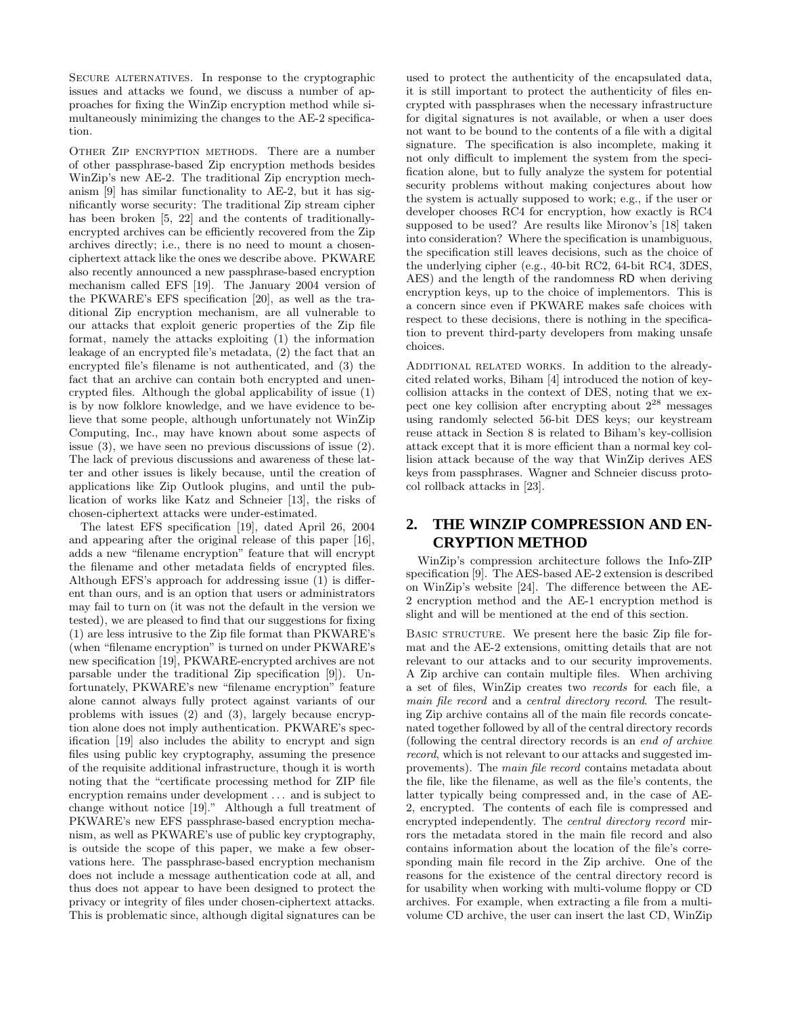SECURE ALTERNATIVES. In response to the cryptographic issues and attacks we found, we discuss a number of approaches for fixing the WinZip encryption method while simultaneously minimizing the changes to the AE-2 specification.

Other Zip encryption methods. There are a number of other passphrase-based Zip encryption methods besides WinZip's new AE-2. The traditional Zip encryption mechanism [9] has similar functionality to AE-2, but it has significantly worse security: The traditional Zip stream cipher has been broken [5, 22] and the contents of traditionallyencrypted archives can be efficiently recovered from the Zip archives directly; i.e., there is no need to mount a chosenciphertext attack like the ones we describe above. PKWARE also recently announced a new passphrase-based encryption mechanism called EFS [19]. The January 2004 version of the PKWARE's EFS specification [20], as well as the traditional Zip encryption mechanism, are all vulnerable to our attacks that exploit generic properties of the Zip file format, namely the attacks exploiting (1) the information leakage of an encrypted file's metadata, (2) the fact that an encrypted file's filename is not authenticated, and (3) the fact that an archive can contain both encrypted and unencrypted files. Although the global applicability of issue (1) is by now folklore knowledge, and we have evidence to believe that some people, although unfortunately not WinZip Computing, Inc., may have known about some aspects of issue (3), we have seen no previous discussions of issue (2). The lack of previous discussions and awareness of these latter and other issues is likely because, until the creation of applications like Zip Outlook plugins, and until the publication of works like Katz and Schneier [13], the risks of chosen-ciphertext attacks were under-estimated.

The latest EFS specification [19], dated April 26, 2004 and appearing after the original release of this paper [16], adds a new "filename encryption" feature that will encrypt the filename and other metadata fields of encrypted files. Although EFS's approach for addressing issue (1) is different than ours, and is an option that users or administrators may fail to turn on (it was not the default in the version we tested), we are pleased to find that our suggestions for fixing (1) are less intrusive to the Zip file format than PKWARE's (when "filename encryption" is turned on under PKWARE's new specification [19], PKWARE-encrypted archives are not parsable under the traditional Zip specification [9]). Unfortunately, PKWARE's new "filename encryption" feature alone cannot always fully protect against variants of our problems with issues (2) and (3), largely because encryption alone does not imply authentication. PKWARE's specification [19] also includes the ability to encrypt and sign files using public key cryptography, assuming the presence of the requisite additional infrastructure, though it is worth noting that the "certificate processing method for ZIP file encryption remains under development . . . and is subject to change without notice [19]." Although a full treatment of PKWARE's new EFS passphrase-based encryption mechanism, as well as PKWARE's use of public key cryptography, is outside the scope of this paper, we make a few observations here. The passphrase-based encryption mechanism does not include a message authentication code at all, and thus does not appear to have been designed to protect the privacy or integrity of files under chosen-ciphertext attacks. This is problematic since, although digital signatures can be

used to protect the authenticity of the encapsulated data, it is still important to protect the authenticity of files encrypted with passphrases when the necessary infrastructure for digital signatures is not available, or when a user does not want to be bound to the contents of a file with a digital signature. The specification is also incomplete, making it not only difficult to implement the system from the specification alone, but to fully analyze the system for potential security problems without making conjectures about how the system is actually supposed to work; e.g., if the user or developer chooses RC4 for encryption, how exactly is RC4 supposed to be used? Are results like Mironov's [18] taken into consideration? Where the specification is unambiguous, the specification still leaves decisions, such as the choice of the underlying cipher (e.g., 40-bit RC2, 64-bit RC4, 3DES, AES) and the length of the randomness RD when deriving encryption keys, up to the choice of implementors. This is a concern since even if PKWARE makes safe choices with respect to these decisions, there is nothing in the specification to prevent third-party developers from making unsafe choices.

ADDITIONAL RELATED WORKS. In addition to the alreadycited related works, Biham [4] introduced the notion of keycollision attacks in the context of DES, noting that we expect one key collision after encrypting about  $2^{28}$  messages using randomly selected 56-bit DES keys; our keystream reuse attack in Section 8 is related to Biham's key-collision attack except that it is more efficient than a normal key collision attack because of the way that WinZip derives AES keys from passphrases. Wagner and Schneier discuss protocol rollback attacks in [23].

# **2. THE WINZIP COMPRESSION AND EN-CRYPTION METHOD**

WinZip's compression architecture follows the Info-ZIP specification [9]. The AES-based AE-2 extension is described on WinZip's website [24]. The difference between the AE-2 encryption method and the AE-1 encryption method is slight and will be mentioned at the end of this section.

Basic structure. We present here the basic Zip file format and the AE-2 extensions, omitting details that are not relevant to our attacks and to our security improvements. A Zip archive can contain multiple files. When archiving a set of files, WinZip creates two records for each file, a main file record and a central directory record. The resulting Zip archive contains all of the main file records concatenated together followed by all of the central directory records (following the central directory records is an end of archive record, which is not relevant to our attacks and suggested improvements). The main file record contains metadata about the file, like the filename, as well as the file's contents, the latter typically being compressed and, in the case of AE-2, encrypted. The contents of each file is compressed and encrypted independently. The central directory record mirrors the metadata stored in the main file record and also contains information about the location of the file's corresponding main file record in the Zip archive. One of the reasons for the existence of the central directory record is for usability when working with multi-volume floppy or CD archives. For example, when extracting a file from a multivolume CD archive, the user can insert the last CD, WinZip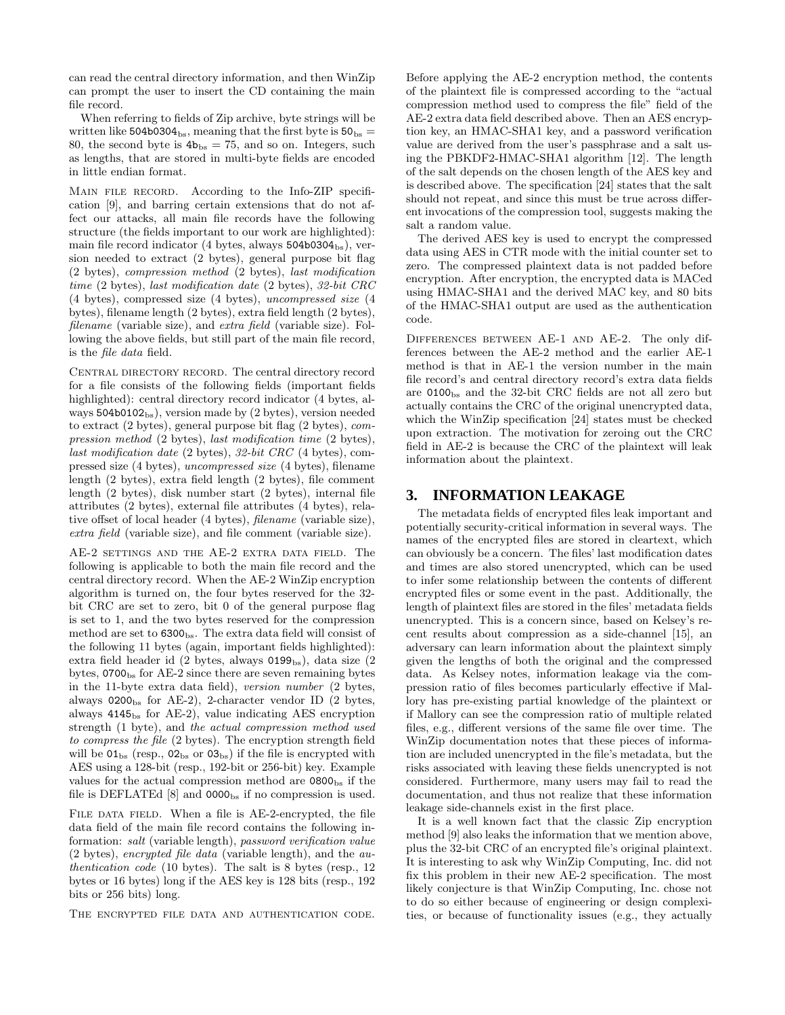can read the central directory information, and then WinZip can prompt the user to insert the CD containing the main file record.

When referring to fields of Zip archive, byte strings will be written like 504b0304<sub>bs</sub>, meaning that the first byte is  $50<sub>bs</sub> =$ 80, the second byte is  $4b_{bs} = 75$ , and so on. Integers, such as lengths, that are stored in multi-byte fields are encoded in little endian format.

MAIN FILE RECORD. According to the Info-ZIP specification [9], and barring certain extensions that do not affect our attacks, all main file records have the following structure (the fields important to our work are highlighted): main file record indicator (4 bytes, always  $504b0304_{\rm bs}$ ), version needed to extract (2 bytes), general purpose bit flag (2 bytes), compression method (2 bytes), last modification time (2 bytes), last modification date (2 bytes), 32-bit CRC (4 bytes), compressed size (4 bytes), uncompressed size (4 bytes), filename length (2 bytes), extra field length (2 bytes), filename (variable size), and extra field (variable size). Following the above fields, but still part of the main file record, is the file data field.

CENTRAL DIRECTORY RECORD. The central directory record for a file consists of the following fields (important fields highlighted): central directory record indicator (4 bytes, always 504b0102bs), version made by (2 bytes), version needed to extract (2 bytes), general purpose bit flag (2 bytes), compression method (2 bytes), last modification time (2 bytes), last modification date (2 bytes), 32-bit CRC (4 bytes), compressed size (4 bytes), uncompressed size (4 bytes), filename length (2 bytes), extra field length (2 bytes), file comment length (2 bytes), disk number start (2 bytes), internal file attributes (2 bytes), external file attributes (4 bytes), relative offset of local header (4 bytes), filename (variable size), extra field (variable size), and file comment (variable size).

AE-2 settings and the AE-2 extra data field. The following is applicable to both the main file record and the central directory record. When the AE-2 WinZip encryption algorithm is turned on, the four bytes reserved for the 32 bit CRC are set to zero, bit 0 of the general purpose flag is set to 1, and the two bytes reserved for the compression method are set to  $6300_{\text{bs}}$ . The extra data field will consist of the following 11 bytes (again, important fields highlighted): extra field header id  $(2 \text{ bytes}, \text{ always } 0199_{\text{bs}})$ , data size  $(2 \text{ bytes}, \text{ always } 0199_{\text{bs}})$ bytes,  $0700<sub>bs</sub>$  for AE-2 since there are seven remaining bytes in the 11-byte extra data field), version number (2 bytes, always  $0200_{\text{bs}}$  for AE-2), 2-character vendor ID (2 bytes, always  $4145_{\text{bs}}$  for AE-2), value indicating AES encryption strength (1 byte), and the actual compression method used to compress the file (2 bytes). The encryption strength field will be  $01_{\text{bs}}$  (resp.,  $02_{\text{bs}}$  or  $03_{\text{bs}}$ ) if the file is encrypted with AES using a 128-bit (resp., 192-bit or 256-bit) key. Example values for the actual compression method are  $0800<sub>bs</sub>$  if the file is DEFLATEd  $[8]$  and  $0000_{\text{bs}}$  if no compression is used.

FILE DATA FIELD. When a file is AE-2-encrypted, the file data field of the main file record contains the following information: salt (variable length), password verification value (2 bytes), encrypted file data (variable length), and the authentication code (10 bytes). The salt is 8 bytes (resp., 12 bytes or 16 bytes) long if the AES key is 128 bits (resp., 192 bits or 256 bits) long.

THE ENCRYPTED FILE DATA AND AUTHENTICATION CODE.

Before applying the AE-2 encryption method, the contents of the plaintext file is compressed according to the "actual compression method used to compress the file" field of the AE-2 extra data field described above. Then an AES encryption key, an HMAC-SHA1 key, and a password verification value are derived from the user's passphrase and a salt using the PBKDF2-HMAC-SHA1 algorithm [12]. The length of the salt depends on the chosen length of the AES key and is described above. The specification [24] states that the salt should not repeat, and since this must be true across different invocations of the compression tool, suggests making the salt a random value.

The derived AES key is used to encrypt the compressed data using AES in CTR mode with the initial counter set to zero. The compressed plaintext data is not padded before encryption. After encryption, the encrypted data is MACed using HMAC-SHA1 and the derived MAC key, and 80 bits of the HMAC-SHA1 output are used as the authentication code.

Differences between AE-1 and AE-2. The only differences between the AE-2 method and the earlier AE-1 method is that in AE-1 the version number in the main file record's and central directory record's extra data fields are 0100bs and the 32-bit CRC fields are not all zero but actually contains the CRC of the original unencrypted data, which the WinZip specification [24] states must be checked upon extraction. The motivation for zeroing out the CRC field in AE-2 is because the CRC of the plaintext will leak information about the plaintext.

### **3. INFORMATION LEAKAGE**

The metadata fields of encrypted files leak important and potentially security-critical information in several ways. The names of the encrypted files are stored in cleartext, which can obviously be a concern. The files' last modification dates and times are also stored unencrypted, which can be used to infer some relationship between the contents of different encrypted files or some event in the past. Additionally, the length of plaintext files are stored in the files' metadata fields unencrypted. This is a concern since, based on Kelsey's recent results about compression as a side-channel [15], an adversary can learn information about the plaintext simply given the lengths of both the original and the compressed data. As Kelsey notes, information leakage via the compression ratio of files becomes particularly effective if Mallory has pre-existing partial knowledge of the plaintext or if Mallory can see the compression ratio of multiple related files, e.g., different versions of the same file over time. The WinZip documentation notes that these pieces of information are included unencrypted in the file's metadata, but the risks associated with leaving these fields unencrypted is not considered. Furthermore, many users may fail to read the documentation, and thus not realize that these information leakage side-channels exist in the first place.

It is a well known fact that the classic Zip encryption method [9] also leaks the information that we mention above, plus the 32-bit CRC of an encrypted file's original plaintext. It is interesting to ask why WinZip Computing, Inc. did not fix this problem in their new AE-2 specification. The most likely conjecture is that WinZip Computing, Inc. chose not to do so either because of engineering or design complexities, or because of functionality issues (e.g., they actually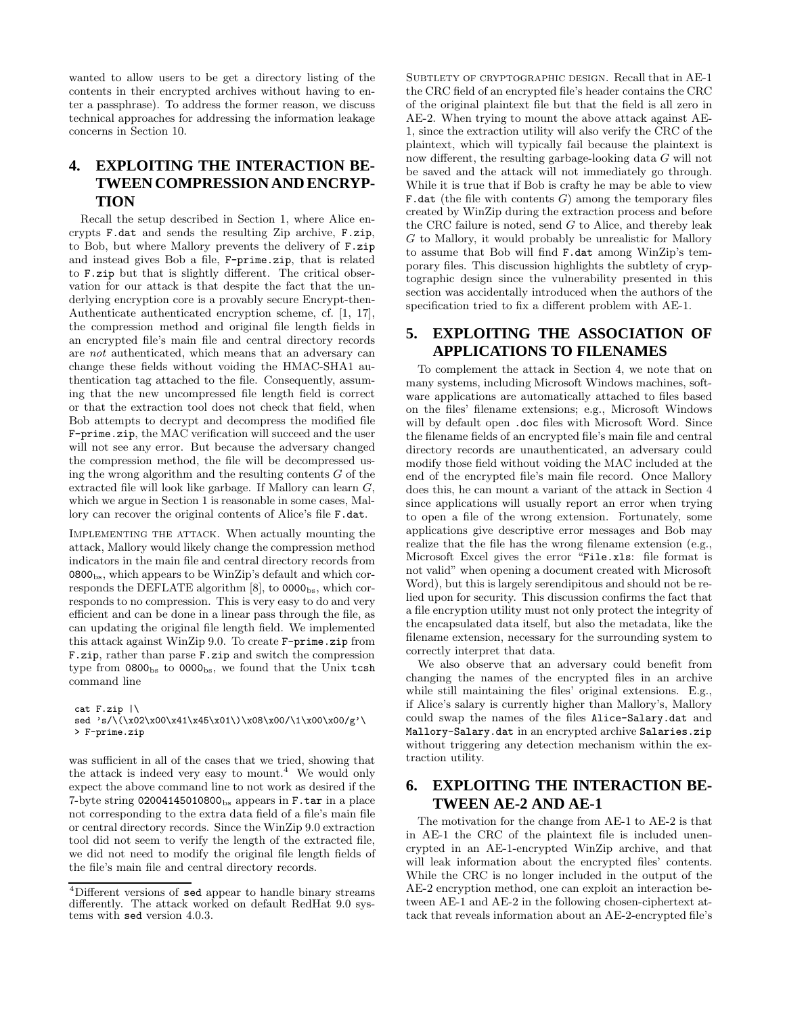wanted to allow users to be get a directory listing of the contents in their encrypted archives without having to enter a passphrase). To address the former reason, we discuss technical approaches for addressing the information leakage concerns in Section 10.

# **4. EXPLOITING THE INTERACTION BE-TWEEN COMPRESSION AND ENCRYP-TION**

Recall the setup described in Section 1, where Alice encrypts F.dat and sends the resulting Zip archive, F.zip, to Bob, but where Mallory prevents the delivery of F.zip and instead gives Bob a file, F-prime.zip, that is related to F.zip but that is slightly different. The critical observation for our attack is that despite the fact that the underlying encryption core is a provably secure Encrypt-then-Authenticate authenticated encryption scheme, cf. [1, 17], the compression method and original file length fields in an encrypted file's main file and central directory records are not authenticated, which means that an adversary can change these fields without voiding the HMAC-SHA1 authentication tag attached to the file. Consequently, assuming that the new uncompressed file length field is correct or that the extraction tool does not check that field, when Bob attempts to decrypt and decompress the modified file F-prime.zip, the MAC verification will succeed and the user will not see any error. But because the adversary changed the compression method, the file will be decompressed using the wrong algorithm and the resulting contents  $G$  of the extracted file will look like garbage. If Mallory can learn G, which we argue in Section 1 is reasonable in some cases, Mallory can recover the original contents of Alice's file F.dat.

Implementing the attack. When actually mounting the attack, Mallory would likely change the compression method indicators in the main file and central directory records from  $0800<sub>bs</sub>$ , which appears to be WinZip's default and which corresponds the DEFLATE algorithm  $[8]$ , to 0000<sub>bs</sub>, which corresponds to no compression. This is very easy to do and very efficient and can be done in a linear pass through the file, as can updating the original file length field. We implemented this attack against WinZip 9.0. To create F-prime.zip from F.zip, rather than parse F.zip and switch the compression type from  $0800<sub>bs</sub>$  to  $0000<sub>bs</sub>$ , we found that the Unix tcsh command line

cat F.zip |\ sed 's/\(\x02\x00\x41\x45\x01\)\x08\x00/\1\x00\x00/g'\ > F-prime.zip

was sufficient in all of the cases that we tried, showing that the attack is indeed very easy to mount.<sup>4</sup> We would only expect the above command line to not work as desired if the 7-byte string  $02004145010800_{\rm bs}$  appears in F.tar in a place not corresponding to the extra data field of a file's main file or central directory records. Since the WinZip 9.0 extraction tool did not seem to verify the length of the extracted file, we did not need to modify the original file length fields of the file's main file and central directory records.

SUBTLETY OF CRYPTOGRAPHIC DESIGN. Recall that in AE-1 the CRC field of an encrypted file's header contains the CRC of the original plaintext file but that the field is all zero in AE-2. When trying to mount the above attack against AE-1, since the extraction utility will also verify the CRC of the plaintext, which will typically fail because the plaintext is now different, the resulting garbage-looking data G will not be saved and the attack will not immediately go through. While it is true that if Bob is crafty he may be able to view **F.dat** (the file with contents  $G$ ) among the temporary files created by WinZip during the extraction process and before the CRC failure is noted, send  $G$  to Alice, and thereby leak G to Mallory, it would probably be unrealistic for Mallory to assume that Bob will find F.dat among WinZip's temporary files. This discussion highlights the subtlety of cryptographic design since the vulnerability presented in this section was accidentally introduced when the authors of the specification tried to fix a different problem with AE-1.

# **5. EXPLOITING THE ASSOCIATION OF APPLICATIONS TO FILENAMES**

To complement the attack in Section 4, we note that on many systems, including Microsoft Windows machines, software applications are automatically attached to files based on the files' filename extensions; e.g., Microsoft Windows will by default open .doc files with Microsoft Word. Since the filename fields of an encrypted file's main file and central directory records are unauthenticated, an adversary could modify those field without voiding the MAC included at the end of the encrypted file's main file record. Once Mallory does this, he can mount a variant of the attack in Section 4 since applications will usually report an error when trying to open a file of the wrong extension. Fortunately, some applications give descriptive error messages and Bob may realize that the file has the wrong filename extension (e.g., Microsoft Excel gives the error "File.xls: file format is not valid" when opening a document created with Microsoft Word), but this is largely serendipitous and should not be relied upon for security. This discussion confirms the fact that a file encryption utility must not only protect the integrity of the encapsulated data itself, but also the metadata, like the filename extension, necessary for the surrounding system to correctly interpret that data.

We also observe that an adversary could benefit from changing the names of the encrypted files in an archive while still maintaining the files' original extensions. E.g., if Alice's salary is currently higher than Mallory's, Mallory could swap the names of the files Alice-Salary.dat and Mallory-Salary.dat in an encrypted archive Salaries.zip without triggering any detection mechanism within the extraction utility.

# **6. EXPLOITING THE INTERACTION BE-TWEEN AE-2 AND AE-1**

The motivation for the change from AE-1 to AE-2 is that in AE-1 the CRC of the plaintext file is included unencrypted in an AE-1-encrypted WinZip archive, and that will leak information about the encrypted files' contents. While the CRC is no longer included in the output of the AE-2 encryption method, one can exploit an interaction between AE-1 and AE-2 in the following chosen-ciphertext attack that reveals information about an AE-2-encrypted file's

<sup>4</sup>Different versions of sed appear to handle binary streams differently. The attack worked on default RedHat 9.0 systems with sed version 4.0.3.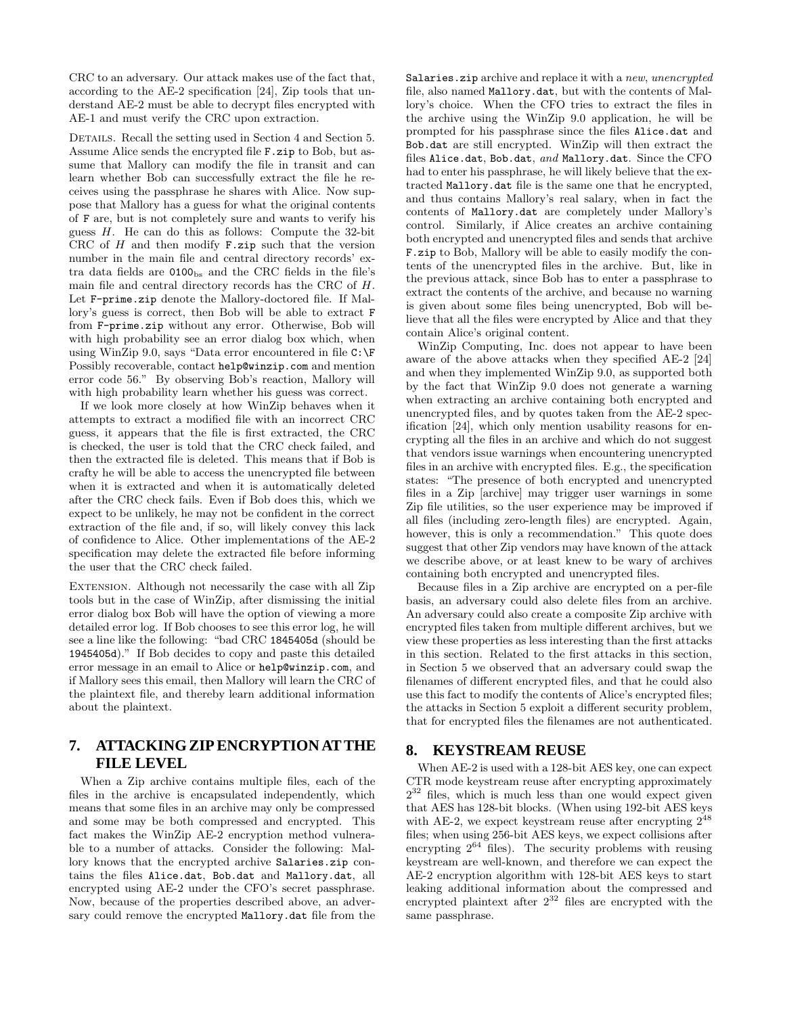CRC to an adversary. Our attack makes use of the fact that, according to the AE-2 specification [24], Zip tools that understand AE-2 must be able to decrypt files encrypted with AE-1 and must verify the CRC upon extraction.

DETAILS. Recall the setting used in Section 4 and Section 5. Assume Alice sends the encrypted file F.zip to Bob, but assume that Mallory can modify the file in transit and can learn whether Bob can successfully extract the file he receives using the passphrase he shares with Alice. Now suppose that Mallory has a guess for what the original contents of F are, but is not completely sure and wants to verify his guess H. He can do this as follows: Compute the 32-bit CRC of  $H$  and then modify  $F.zip$  such that the version number in the main file and central directory records' extra data fields are  $0100<sub>bs</sub>$  and the CRC fields in the file's main file and central directory records has the CRC of H. Let F-prime.zip denote the Mallory-doctored file. If Mallory's guess is correct, then Bob will be able to extract F from F-prime.zip without any error. Otherwise, Bob will with high probability see an error dialog box which, when using WinZip 9.0, says "Data error encountered in file C:\F Possibly recoverable, contact help@winzip.com and mention error code 56." By observing Bob's reaction, Mallory will with high probability learn whether his guess was correct.

If we look more closely at how WinZip behaves when it attempts to extract a modified file with an incorrect CRC guess, it appears that the file is first extracted, the CRC is checked, the user is told that the CRC check failed, and then the extracted file is deleted. This means that if Bob is crafty he will be able to access the unencrypted file between when it is extracted and when it is automatically deleted after the CRC check fails. Even if Bob does this, which we expect to be unlikely, he may not be confident in the correct extraction of the file and, if so, will likely convey this lack of confidence to Alice. Other implementations of the AE-2 specification may delete the extracted file before informing the user that the CRC check failed.

Extension. Although not necessarily the case with all Zip tools but in the case of WinZip, after dismissing the initial error dialog box Bob will have the option of viewing a more detailed error log. If Bob chooses to see this error log, he will see a line like the following: "bad CRC 1845405d (should be 1945405d)." If Bob decides to copy and paste this detailed error message in an email to Alice or help@winzip.com, and if Mallory sees this email, then Mallory will learn the CRC of the plaintext file, and thereby learn additional information about the plaintext.

# **7. ATTACKINGZIPENCRYPTION ATTHE FILE LEVEL**

When a Zip archive contains multiple files, each of the files in the archive is encapsulated independently, which means that some files in an archive may only be compressed and some may be both compressed and encrypted. This fact makes the WinZip AE-2 encryption method vulnerable to a number of attacks. Consider the following: Mallory knows that the encrypted archive Salaries.zip contains the files Alice.dat, Bob.dat and Mallory.dat, all encrypted using AE-2 under the CFO's secret passphrase. Now, because of the properties described above, an adversary could remove the encrypted Mallory.dat file from the Salaries.zip archive and replace it with a new, unencrypted file, also named Mallory.dat, but with the contents of Mallory's choice. When the CFO tries to extract the files in the archive using the WinZip 9.0 application, he will be prompted for his passphrase since the files Alice.dat and Bob.dat are still encrypted. WinZip will then extract the files Alice.dat, Bob.dat, and Mallory.dat. Since the CFO had to enter his passphrase, he will likely believe that the extracted Mallory.dat file is the same one that he encrypted, and thus contains Mallory's real salary, when in fact the contents of Mallory.dat are completely under Mallory's control. Similarly, if Alice creates an archive containing both encrypted and unencrypted files and sends that archive F.zip to Bob, Mallory will be able to easily modify the contents of the unencrypted files in the archive. But, like in the previous attack, since Bob has to enter a passphrase to extract the contents of the archive, and because no warning is given about some files being unencrypted, Bob will believe that all the files were encrypted by Alice and that they contain Alice's original content.

WinZip Computing, Inc. does not appear to have been aware of the above attacks when they specified AE-2 [24] and when they implemented WinZip 9.0, as supported both by the fact that WinZip 9.0 does not generate a warning when extracting an archive containing both encrypted and unencrypted files, and by quotes taken from the AE-2 specification [24], which only mention usability reasons for encrypting all the files in an archive and which do not suggest that vendors issue warnings when encountering unencrypted files in an archive with encrypted files. E.g., the specification states: "The presence of both encrypted and unencrypted files in a Zip [archive] may trigger user warnings in some Zip file utilities, so the user experience may be improved if all files (including zero-length files) are encrypted. Again, however, this is only a recommendation." This quote does suggest that other Zip vendors may have known of the attack we describe above, or at least knew to be wary of archives containing both encrypted and unencrypted files.

Because files in a Zip archive are encrypted on a per-file basis, an adversary could also delete files from an archive. An adversary could also create a composite Zip archive with encrypted files taken from multiple different archives, but we view these properties as less interesting than the first attacks in this section. Related to the first attacks in this section, in Section 5 we observed that an adversary could swap the filenames of different encrypted files, and that he could also use this fact to modify the contents of Alice's encrypted files; the attacks in Section 5 exploit a different security problem, that for encrypted files the filenames are not authenticated.

### **8. KEYSTREAM REUSE**

When AE-2 is used with a 128-bit AES key, one can expect CTR mode keystream reuse after encrypting approximately  $2^{32}$  files, which is much less than one would expect given that AES has 128-bit blocks. (When using 192-bit AES keys with AE-2, we expect keystream reuse after encrypting  $2^{48}$ files; when using 256-bit AES keys, we expect collisions after encrypting  $2^{64}$  files). The security problems with reusing keystream are well-known, and therefore we can expect the AE-2 encryption algorithm with 128-bit AES keys to start leaking additional information about the compressed and encrypted plaintext after  $2^{32}$  files are encrypted with the same passphrase.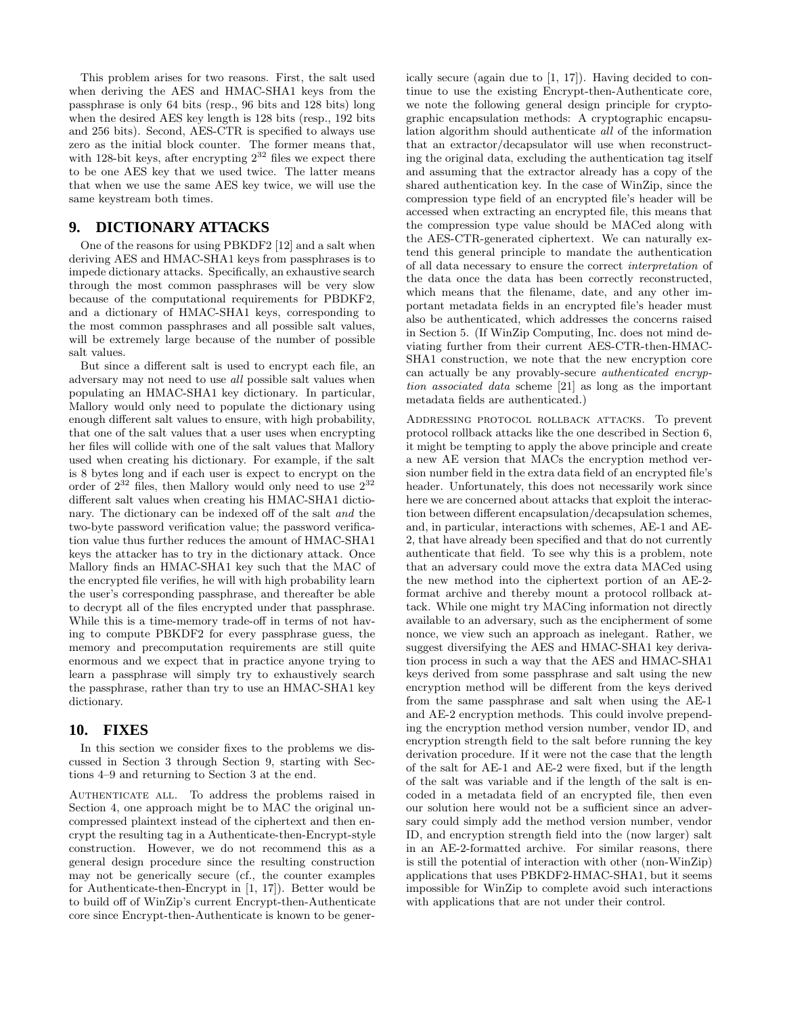This problem arises for two reasons. First, the salt used when deriving the AES and HMAC-SHA1 keys from the passphrase is only 64 bits (resp., 96 bits and 128 bits) long when the desired AES key length is 128 bits (resp., 192 bits and 256 bits). Second, AES-CTR is specified to always use zero as the initial block counter. The former means that, with 128-bit keys, after encrypting  $2^{32}$  files we expect there to be one AES key that we used twice. The latter means that when we use the same AES key twice, we will use the same keystream both times.

### **9. DICTIONARY ATTACKS**

One of the reasons for using PBKDF2 [12] and a salt when deriving AES and HMAC-SHA1 keys from passphrases is to impede dictionary attacks. Specifically, an exhaustive search through the most common passphrases will be very slow because of the computational requirements for PBDKF2, and a dictionary of HMAC-SHA1 keys, corresponding to the most common passphrases and all possible salt values, will be extremely large because of the number of possible salt values.

But since a different salt is used to encrypt each file, an adversary may not need to use all possible salt values when populating an HMAC-SHA1 key dictionary. In particular, Mallory would only need to populate the dictionary using enough different salt values to ensure, with high probability, that one of the salt values that a user uses when encrypting her files will collide with one of the salt values that Mallory used when creating his dictionary. For example, if the salt is 8 bytes long and if each user is expect to encrypt on the order of  $2^{32}$  files, then Mallory would only need to use  $2^{32}$ different salt values when creating his HMAC-SHA1 dictionary. The dictionary can be indexed off of the salt and the two-byte password verification value; the password verification value thus further reduces the amount of HMAC-SHA1 keys the attacker has to try in the dictionary attack. Once Mallory finds an HMAC-SHA1 key such that the MAC of the encrypted file verifies, he will with high probability learn the user's corresponding passphrase, and thereafter be able to decrypt all of the files encrypted under that passphrase. While this is a time-memory trade-off in terms of not having to compute PBKDF2 for every passphrase guess, the memory and precomputation requirements are still quite enormous and we expect that in practice anyone trying to learn a passphrase will simply try to exhaustively search the passphrase, rather than try to use an HMAC-SHA1 key dictionary.

#### **10. FIXES**

In this section we consider fixes to the problems we discussed in Section 3 through Section 9, starting with Sections 4–9 and returning to Section 3 at the end.

Authenticate all. To address the problems raised in Section 4, one approach might be to MAC the original uncompressed plaintext instead of the ciphertext and then encrypt the resulting tag in a Authenticate-then-Encrypt-style construction. However, we do not recommend this as a general design procedure since the resulting construction may not be generically secure (cf., the counter examples for Authenticate-then-Encrypt in [1, 17]). Better would be to build off of WinZip's current Encrypt-then-Authenticate core since Encrypt-then-Authenticate is known to be generically secure (again due to [1, 17]). Having decided to continue to use the existing Encrypt-then-Authenticate core, we note the following general design principle for cryptographic encapsulation methods: A cryptographic encapsulation algorithm should authenticate all of the information that an extractor/decapsulator will use when reconstructing the original data, excluding the authentication tag itself and assuming that the extractor already has a copy of the shared authentication key. In the case of WinZip, since the compression type field of an encrypted file's header will be accessed when extracting an encrypted file, this means that the compression type value should be MACed along with the AES-CTR-generated ciphertext. We can naturally extend this general principle to mandate the authentication of all data necessary to ensure the correct interpretation of the data once the data has been correctly reconstructed, which means that the filename, date, and any other important metadata fields in an encrypted file's header must also be authenticated, which addresses the concerns raised in Section 5. (If WinZip Computing, Inc. does not mind deviating further from their current AES-CTR-then-HMAC-SHA1 construction, we note that the new encryption core can actually be any provably-secure authenticated encryption associated data scheme [21] as long as the important metadata fields are authenticated.)

Addressing protocol rollback attacks. To prevent protocol rollback attacks like the one described in Section 6, it might be tempting to apply the above principle and create a new AE version that MACs the encryption method version number field in the extra data field of an encrypted file's header. Unfortunately, this does not necessarily work since here we are concerned about attacks that exploit the interaction between different encapsulation/decapsulation schemes, and, in particular, interactions with schemes, AE-1 and AE-2, that have already been specified and that do not currently authenticate that field. To see why this is a problem, note that an adversary could move the extra data MACed using the new method into the ciphertext portion of an AE-2 format archive and thereby mount a protocol rollback attack. While one might try MACing information not directly available to an adversary, such as the encipherment of some nonce, we view such an approach as inelegant. Rather, we suggest diversifying the AES and HMAC-SHA1 key derivation process in such a way that the AES and HMAC-SHA1 keys derived from some passphrase and salt using the new encryption method will be different from the keys derived from the same passphrase and salt when using the AE-1 and AE-2 encryption methods. This could involve prepending the encryption method version number, vendor ID, and encryption strength field to the salt before running the key derivation procedure. If it were not the case that the length of the salt for AE-1 and AE-2 were fixed, but if the length of the salt was variable and if the length of the salt is encoded in a metadata field of an encrypted file, then even our solution here would not be a sufficient since an adversary could simply add the method version number, vendor ID, and encryption strength field into the (now larger) salt in an AE-2-formatted archive. For similar reasons, there is still the potential of interaction with other (non-WinZip) applications that uses PBKDF2-HMAC-SHA1, but it seems impossible for WinZip to complete avoid such interactions with applications that are not under their control.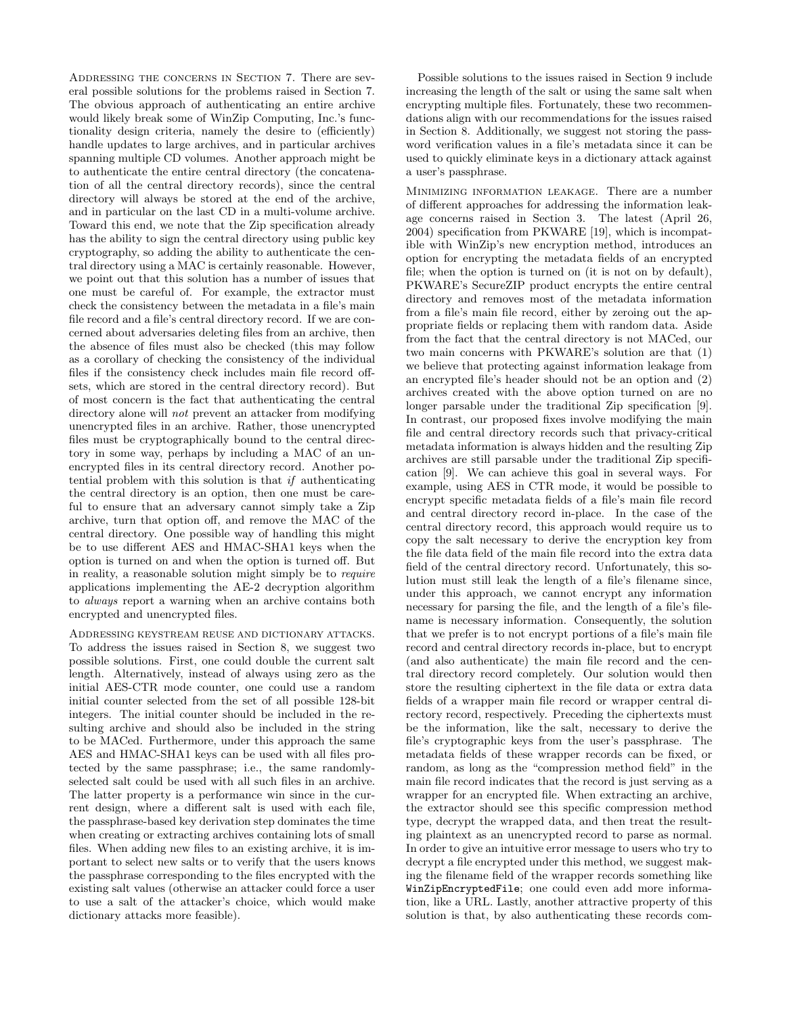Addressing the concerns in Section 7. There are several possible solutions for the problems raised in Section 7. The obvious approach of authenticating an entire archive would likely break some of WinZip Computing, Inc.'s functionality design criteria, namely the desire to (efficiently) handle updates to large archives, and in particular archives spanning multiple CD volumes. Another approach might be to authenticate the entire central directory (the concatenation of all the central directory records), since the central directory will always be stored at the end of the archive, and in particular on the last CD in a multi-volume archive. Toward this end, we note that the Zip specification already has the ability to sign the central directory using public key cryptography, so adding the ability to authenticate the central directory using a MAC is certainly reasonable. However, we point out that this solution has a number of issues that one must be careful of. For example, the extractor must check the consistency between the metadata in a file's main file record and a file's central directory record. If we are concerned about adversaries deleting files from an archive, then the absence of files must also be checked (this may follow as a corollary of checking the consistency of the individual files if the consistency check includes main file record offsets, which are stored in the central directory record). But of most concern is the fact that authenticating the central directory alone will *not* prevent an attacker from modifying unencrypted files in an archive. Rather, those unencrypted files must be cryptographically bound to the central directory in some way, perhaps by including a MAC of an unencrypted files in its central directory record. Another potential problem with this solution is that  $if$  authenticating the central directory is an option, then one must be careful to ensure that an adversary cannot simply take a Zip archive, turn that option off, and remove the MAC of the central directory. One possible way of handling this might be to use different AES and HMAC-SHA1 keys when the option is turned on and when the option is turned off. But in reality, a reasonable solution might simply be to require applications implementing the AE-2 decryption algorithm to always report a warning when an archive contains both encrypted and unencrypted files.

Addressing keystream reuse and dictionary attacks. To address the issues raised in Section 8, we suggest two possible solutions. First, one could double the current salt length. Alternatively, instead of always using zero as the initial AES-CTR mode counter, one could use a random initial counter selected from the set of all possible 128-bit integers. The initial counter should be included in the resulting archive and should also be included in the string to be MACed. Furthermore, under this approach the same AES and HMAC-SHA1 keys can be used with all files protected by the same passphrase; i.e., the same randomlyselected salt could be used with all such files in an archive. The latter property is a performance win since in the current design, where a different salt is used with each file, the passphrase-based key derivation step dominates the time when creating or extracting archives containing lots of small files. When adding new files to an existing archive, it is important to select new salts or to verify that the users knows the passphrase corresponding to the files encrypted with the existing salt values (otherwise an attacker could force a user to use a salt of the attacker's choice, which would make dictionary attacks more feasible).

Possible solutions to the issues raised in Section 9 include increasing the length of the salt or using the same salt when encrypting multiple files. Fortunately, these two recommendations align with our recommendations for the issues raised in Section 8. Additionally, we suggest not storing the password verification values in a file's metadata since it can be used to quickly eliminate keys in a dictionary attack against a user's passphrase.

Minimizing information leakage. There are a number of different approaches for addressing the information leakage concerns raised in Section 3. The latest (April 26, 2004) specification from PKWARE [19], which is incompatible with WinZip's new encryption method, introduces an option for encrypting the metadata fields of an encrypted file; when the option is turned on (it is not on by default), PKWARE's SecureZIP product encrypts the entire central directory and removes most of the metadata information from a file's main file record, either by zeroing out the appropriate fields or replacing them with random data. Aside from the fact that the central directory is not MACed, our two main concerns with PKWARE's solution are that (1) we believe that protecting against information leakage from an encrypted file's header should not be an option and (2) archives created with the above option turned on are no longer parsable under the traditional Zip specification [9]. In contrast, our proposed fixes involve modifying the main file and central directory records such that privacy-critical metadata information is always hidden and the resulting Zip archives are still parsable under the traditional Zip specification [9]. We can achieve this goal in several ways. For example, using AES in CTR mode, it would be possible to encrypt specific metadata fields of a file's main file record and central directory record in-place. In the case of the central directory record, this approach would require us to copy the salt necessary to derive the encryption key from the file data field of the main file record into the extra data field of the central directory record. Unfortunately, this solution must still leak the length of a file's filename since, under this approach, we cannot encrypt any information necessary for parsing the file, and the length of a file's filename is necessary information. Consequently, the solution that we prefer is to not encrypt portions of a file's main file record and central directory records in-place, but to encrypt (and also authenticate) the main file record and the central directory record completely. Our solution would then store the resulting ciphertext in the file data or extra data fields of a wrapper main file record or wrapper central directory record, respectively. Preceding the ciphertexts must be the information, like the salt, necessary to derive the file's cryptographic keys from the user's passphrase. The metadata fields of these wrapper records can be fixed, or random, as long as the "compression method field" in the main file record indicates that the record is just serving as a wrapper for an encrypted file. When extracting an archive, the extractor should see this specific compression method type, decrypt the wrapped data, and then treat the resulting plaintext as an unencrypted record to parse as normal. In order to give an intuitive error message to users who try to decrypt a file encrypted under this method, we suggest making the filename field of the wrapper records something like WinZipEncryptedFile; one could even add more information, like a URL. Lastly, another attractive property of this solution is that, by also authenticating these records com